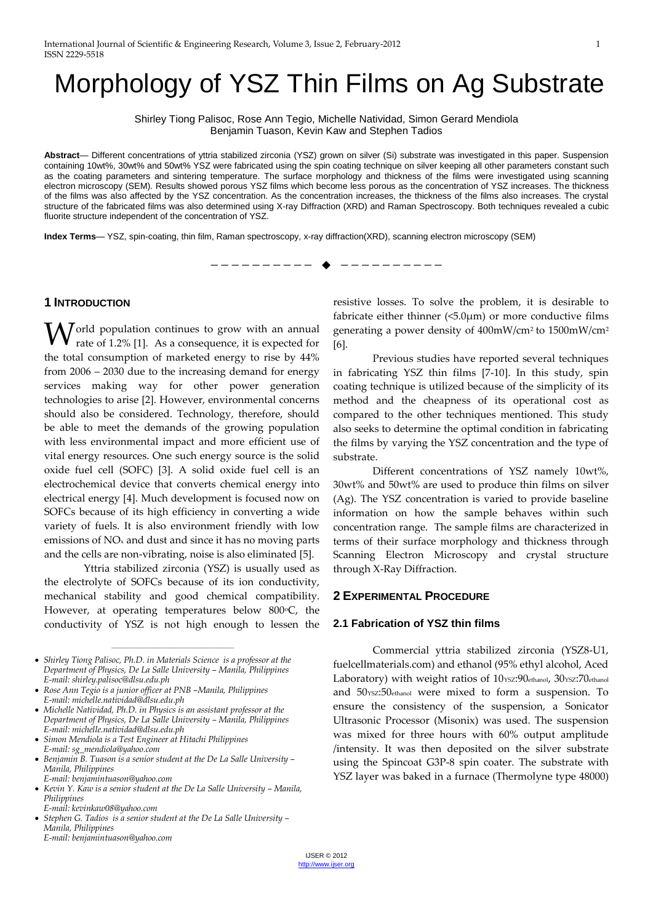# Morphology of YSZ Thin Films on Ag Substrate

Shirley Tiong Palisoc, Rose Ann Tegio, Michelle Natividad, Simon Gerard Mendiola Benjamin Tuason, Kevin Kaw and Stephen Tadios

**Abstract**— Different concentrations of yttria stabilized zirconia (YSZ) grown on silver (Si) substrate was investigated in this paper. Suspension containing 10wt%, 30wt% and 50wt% YSZ were fabricated using the spin coating technique on silver keeping all other parameters constant such as the coating parameters and sintering temperature. The surface morphology and thickness of the films were investigated using scanning electron microscopy (SEM). Results showed porous YSZ films which become less porous as the concentration of YSZ increases. The thickness of the films was also affected by the YSZ concentration. As the concentration increases, the thickness of the films also increases. The crystal structure of the fabricated films was also determined using X-ray Diffraction (XRD) and Raman Spectroscopy. Both techniques revealed a cubic fluorite structure independent of the concentration of YSZ.

**Index Terms**— YSZ, spin-coating, thin film, Raman spectroscopy, x-ray diffraction(XRD), scanning electron microscopy (SEM)

—————————— ——————————

## **1 INTRODUCTION**

 $\bigvee$  orld population continues to grow with an annual rate of 1.2% [1]. As a consequence, it is expected for rate of 1.2% [1]. As a consequence, it is expected for the total consumption of marketed energy to rise by 44% from 2006 – 2030 due to the increasing demand for energy services making way for other power generation technologies to arise [2]. However, environmental concerns should also be considered. Technology, therefore, should be able to meet the demands of the growing population with less environmental impact and more efficient use of vital energy resources. One such energy source is the solid oxide fuel cell (SOFC) [3]. A solid oxide fuel cell is an electrochemical device that converts chemical energy into electrical energy [4]. Much development is focused now on SOFCs because of its high efficiency in converting a wide variety of fuels. It is also environment friendly with low emissions of NO<sup>x</sup> and dust and since it has no moving parts and the cells are non-vibrating, noise is also eliminated [5].

Yttria stabilized zirconia (YSZ) is usually used as the electrolyte of SOFCs because of its ion conductivity, mechanical stability and good chemical compatibility. However, at operating temperatures below 800 °C, the conductivity of YSZ is not high enough to lessen the

————————————————

 *Simon Mendiola is a Test Engineer at Hitachi Philippines E-mail: sg\_mendiola@yahoo.com*

resistive losses. To solve the problem, it is desirable to fabricate either thinner  $(5.0\mu m)$  or more conductive films generating a power density of 400mW/cm2 to 1500mW/cm<sup>2</sup> [6].

Previous studies have reported several techniques in fabricating YSZ thin films [7-10]. In this study, spin coating technique is utilized because of the simplicity of its method and the cheapness of its operational cost as compared to the other techniques mentioned. This study also seeks to determine the optimal condition in fabricating the films by varying the YSZ concentration and the type of substrate.

Different concentrations of YSZ namely 10wt%, 30wt% and 50wt% are used to produce thin films on silver (Ag). The YSZ concentration is varied to provide baseline information on how the sample behaves within such concentration range. The sample films are characterized in terms of their surface morphology and thickness through Scanning Electron Microscopy and crystal structure through X-Ray Diffraction.

#### **2 EXPERIMENTAL PROCEDURE**

#### **2.1 Fabrication of YSZ thin films**

Commercial yttria stabilized zirconia (YSZ8-U1, fuelcellmaterials.com) and ethanol (95% ethyl alcohol, Aced Laboratory) with weight ratios of 10ysz:90ethanol, 30ysz:70ethanol and 50ysz:50ethanol were mixed to form a suspension. To ensure the consistency of the suspension, a Sonicator Ultrasonic Processor (Misonix) was used. The suspension was mixed for three hours with 60% output amplitude /intensity. It was then deposited on the silver substrate using the Spincoat G3P-8 spin coater. The substrate with YSZ layer was baked in a furnace (Thermolyne type 48000)

*Shirley Tiong Palisoc, Ph.D. in Materials Science is a professor at the Department of Physics, De La Salle University – Manila, Philippines E-mail: shirley.palisoc@dlsu.edu.ph*

*Rose Ann Tegio is a junior officer at PNB –Manila, Philippines E-mail: michelle.natividad@dlsu.edu.ph*

*Michelle Natividad, Ph.D. in Physics is an assistant professor at the Department of Physics, De La Salle University – Manila, Philippines E-mail: michelle.natividad@dlsu.edu.ph*

*Benjamin B. Tuason is a senior student at the De La Salle University – Manila, Philippines* 

*E-mail: benjamintuason@yahoo.com*

*Kevin Y. Kaw is a senior student at the De La Salle University – Manila, Philippines* 

*E-mail: kevinkaw08@yahoo.com*

*Stephen G. Tadios is a senior student at the De La Salle University – Manila, Philippines E-mail: benjamintuason@yahoo.com*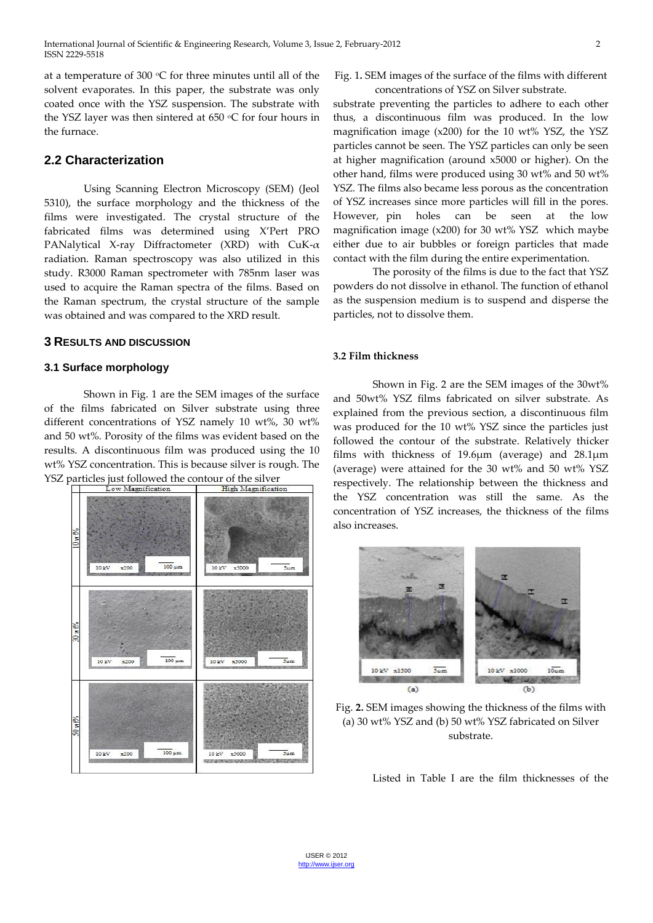at a temperature of 300  $\mathrm{C}$  for three minutes until all of the solvent evaporates. In this paper, the substrate was only coated once with the YSZ suspension. The substrate with the YSZ laver was then sintered at  $650 °C$  for four hours in the furnace.

# **2.2 Characterization**

Using Scanning Electron Microscopy (SEM) (Jeol 5310), the surface morphology and the thickness of the films were investigated. The crystal structure of the fabricated films was determined using X'Pert PRO PANalytical X-ray Diffractometer (XRD) with CuK-α radiation. Raman spectroscopy was also utilized in this study. R3000 Raman spectrometer with 785nm laser was used to acquire the Raman spectra of the films. Based on the Raman spectrum, the crystal structure of the sample was obtained and was compared to the XRD result.

## **3 RESULTS AND DISCUSSION**

#### **3.1 Surface morphology**

Shown in Fig. 1 are the SEM images of the surface of the films fabricated on Silver substrate using three different concentrations of YSZ namely 10 wt%, 30 wt% and 50 wt%. Porosity of the films was evident based on the results. A discontinuous film was produced using the 10 wt% YSZ concentration. This is because silver is rough. The YSZ particles just followed the contour of the silver



Fig. 1**.** SEM images of the surface of the films with different concentrations of YSZ on Silver substrate.

substrate preventing the particles to adhere to each other thus, a discontinuous film was produced. In the low magnification image (x200) for the 10 wt% YSZ, the YSZ particles cannot be seen. The YSZ particles can only be seen at higher magnification (around x5000 or higher). On the other hand, films were produced using 30 wt% and 50 wt% YSZ. The films also became less porous as the concentration of YSZ increases since more particles will fill in the pores. However, pin holes can be seen at the low magnification image (x200) for 30 wt% YSZ which maybe either due to air bubbles or foreign particles that made contact with the film during the entire experimentation.

The porosity of the films is due to the fact that YSZ powders do not dissolve in ethanol. The function of ethanol as the suspension medium is to suspend and disperse the particles, not to dissolve them.

#### **3.2 Film thickness**

Shown in Fig. 2 are the SEM images of the 30wt% and 50wt% YSZ films fabricated on silver substrate. As explained from the previous section, a discontinuous film was produced for the 10 wt% YSZ since the particles just followed the contour of the substrate. Relatively thicker films with thickness of 19.6µm (average) and 28.1µm (average) were attained for the 30 wt% and 50 wt% YSZ respectively. The relationship between the thickness and the YSZ concentration was still the same. As the concentration of YSZ increases, the thickness of the films also increases.



Fig. **2.** SEM images showing the thickness of the films with (a) 30 wt% YSZ and (b) 50 wt% YSZ fabricated on Silver substrate.

Listed in Table I are the film thicknesses of the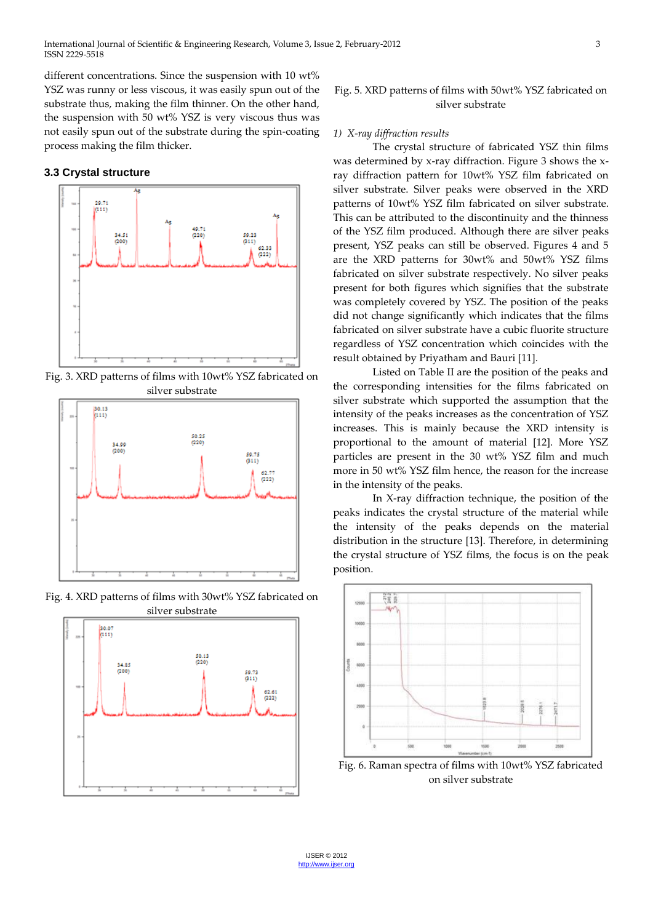different concentrations. Since the suspension with 10 wt% YSZ was runny or less viscous, it was easily spun out of the substrate thus, making the film thinner. On the other hand, the suspension with 50 wt% YSZ is very viscous thus was not easily spun out of the substrate during the spin-coating process making the film thicker.

## **3.3 Crystal structure**



Fig. 3. XRD patterns of films with 10wt% YSZ fabricated on silver substrate



Fig. 4. XRD patterns of films with 30wt% YSZ fabricated on



## Fig. 5. XRD patterns of films with 50wt% YSZ fabricated on silver substrate

#### *1) X-ray diffraction results*

The crystal structure of fabricated YSZ thin films was determined by x-ray diffraction. Figure 3 shows the xray diffraction pattern for 10wt% YSZ film fabricated on silver substrate. Silver peaks were observed in the XRD patterns of 10wt% YSZ film fabricated on silver substrate. This can be attributed to the discontinuity and the thinness of the YSZ film produced. Although there are silver peaks present, YSZ peaks can still be observed. Figures 4 and 5 are the XRD patterns for 30wt% and 50wt% YSZ films fabricated on silver substrate respectively. No silver peaks present for both figures which signifies that the substrate was completely covered by YSZ. The position of the peaks did not change significantly which indicates that the films fabricated on silver substrate have a cubic fluorite structure regardless of YSZ concentration which coincides with the result obtained by Priyatham and Bauri [11].

Listed on Table II are the position of the peaks and the corresponding intensities for the films fabricated on silver substrate which supported the assumption that the intensity of the peaks increases as the concentration of YSZ increases. This is mainly because the XRD intensity is proportional to the amount of material [12]. More YSZ particles are present in the 30 wt% YSZ film and much more in 50 wt% YSZ film hence, the reason for the increase in the intensity of the peaks.

In X-ray diffraction technique, the position of the peaks indicates the crystal structure of the material while the intensity of the peaks depends on the material distribution in the structure [13]. Therefore, in determining the crystal structure of YSZ films, the focus is on the peak position.



Fig. 6. Raman spectra of films with 10wt% YSZ fabricated on silver substrate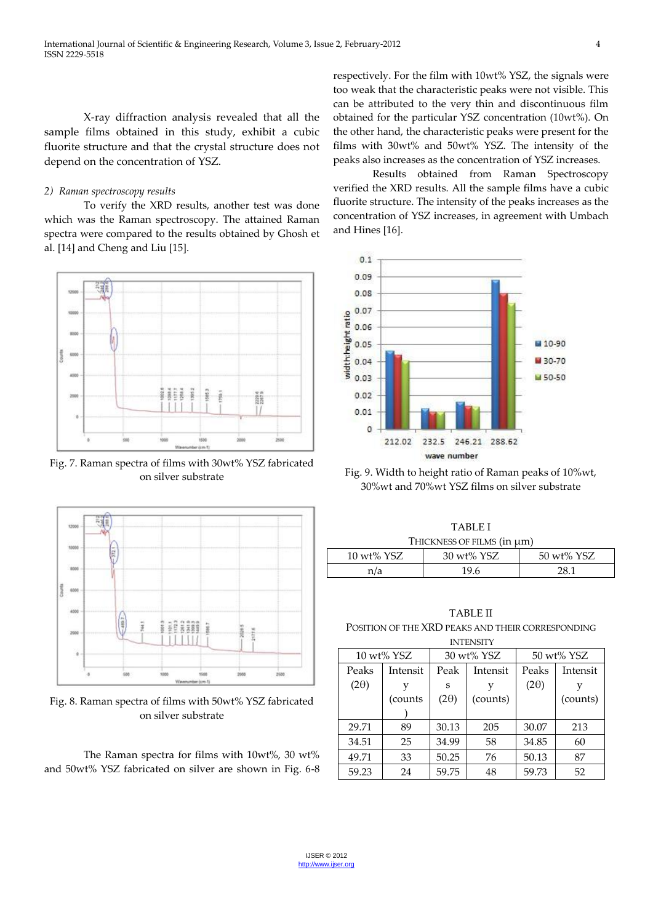X-ray diffraction analysis revealed that all the sample films obtained in this study, exhibit a cubic fluorite structure and that the crystal structure does not depend on the concentration of YSZ.

## *2) Raman spectroscopy results*

To verify the XRD results, another test was done which was the Raman spectroscopy. The attained Raman spectra were compared to the results obtained by Ghosh et al. [14] and Cheng and Liu [15].



Fig. 7. Raman spectra of films with 30wt% YSZ fabricated on silver substrate



Fig. 8. Raman spectra of films with 50wt% YSZ fabricated on silver substrate

The Raman spectra for films with 10wt%, 30 wt% and 50wt% YSZ fabricated on silver are shown in Fig. 6-8 respectively. For the film with 10wt% YSZ, the signals were too weak that the characteristic peaks were not visible. This can be attributed to the very thin and discontinuous film obtained for the particular YSZ concentration (10wt%). On the other hand, the characteristic peaks were present for the films with 30wt% and 50wt% YSZ. The intensity of the peaks also increases as the concentration of YSZ increases.

Results obtained from Raman Spectroscopy verified the XRD results. All the sample films have a cubic fluorite structure. The intensity of the peaks increases as the concentration of YSZ increases, in agreement with Umbach and Hines [16].



Fig. 9. Width to height ratio of Raman peaks of 10%wt, 30%wt and 70%wt YSZ films on silver substrate

|            | TABLE I                         |            |
|------------|---------------------------------|------------|
|            | THICKNESS OF FILMS (in $\mu$ m) |            |
| 10 wt% YSZ | 30 wt% YSZ                      | 50 wt% YSZ |

| n/a | 19.6 | $\sim$ $\sim$ |
|-----|------|---------------|
|     |      |               |

TABLE II POSITION OF THE XRD PEAKS AND THEIR CORRESPONDING

| <b>INTENSITY</b> |          |             |          |             |          |  |  |
|------------------|----------|-------------|----------|-------------|----------|--|--|
| 10 wt% YSZ       |          | 30 wt% YSZ  |          | 50 wt% YSZ  |          |  |  |
| Peaks            | Intensit | Peak        | Intensit | Peaks       | Intensit |  |  |
| $(2\theta)$      |          | S           |          | $(2\theta)$ |          |  |  |
|                  | (counts) | $(2\theta)$ | (counts) |             | (counts) |  |  |
|                  |          |             |          |             |          |  |  |
| 29.71            | 89       | 30.13       | 205      | 30.07       | 213      |  |  |
| 34.51            | 25       | 34.99       | 58       | 34.85       | 60       |  |  |
| 49.71            | 33       | 50.25       | 76       | 50.13       | 87       |  |  |
| 59.23            | 24       | 59.75       | 48       | 59.73       | 52       |  |  |